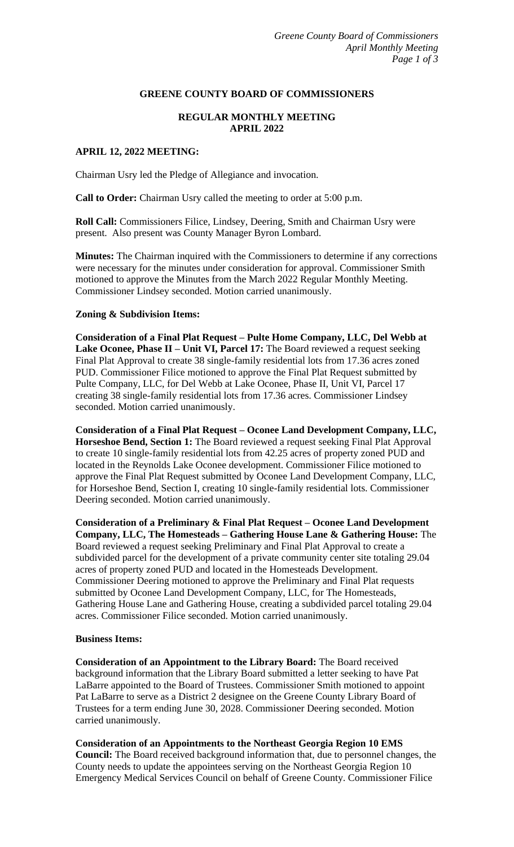#### **GREENE COUNTY BOARD OF COMMISSIONERS**

# **REGULAR MONTHLY MEETING APRIL 2022**

### **APRIL 12, 2022 MEETING:**

Chairman Usry led the Pledge of Allegiance and invocation.

**Call to Order:** Chairman Usry called the meeting to order at 5:00 p.m.

**Roll Call:** Commissioners Filice, Lindsey, Deering, Smith and Chairman Usry were present. Also present was County Manager Byron Lombard.

**Minutes:** The Chairman inquired with the Commissioners to determine if any corrections were necessary for the minutes under consideration for approval. Commissioner Smith motioned to approve the Minutes from the March 2022 Regular Monthly Meeting. Commissioner Lindsey seconded. Motion carried unanimously.

#### **Zoning & Subdivision Items:**

**Consideration of a Final Plat Request – Pulte Home Company, LLC, Del Webb at Lake Oconee, Phase II – Unit VI, Parcel 17:** The Board reviewed a request seeking Final Plat Approval to create 38 single-family residential lots from 17.36 acres zoned PUD. Commissioner Filice motioned to approve the Final Plat Request submitted by Pulte Company, LLC, for Del Webb at Lake Oconee, Phase II, Unit VI, Parcel 17 creating 38 single-family residential lots from 17.36 acres. Commissioner Lindsey seconded. Motion carried unanimously.

**Consideration of a Final Plat Request – Oconee Land Development Company, LLC, Horseshoe Bend, Section 1:** The Board reviewed a request seeking Final Plat Approval to create 10 single-family residential lots from 42.25 acres of property zoned PUD and located in the Reynolds Lake Oconee development. Commissioner Filice motioned to approve the Final Plat Request submitted by Oconee Land Development Company, LLC, for Horseshoe Bend, Section I, creating 10 single-family residential lots. Commissioner Deering seconded. Motion carried unanimously.

**Consideration of a Preliminary & Final Plat Request – Oconee Land Development Company, LLC, The Homesteads – Gathering House Lane & Gathering House:** The Board reviewed a request seeking Preliminary and Final Plat Approval to create a subdivided parcel for the development of a private community center site totaling 29.04 acres of property zoned PUD and located in the Homesteads Development. Commissioner Deering motioned to approve the Preliminary and Final Plat requests submitted by Oconee Land Development Company, LLC, for The Homesteads, Gathering House Lane and Gathering House, creating a subdivided parcel totaling 29.04 acres. Commissioner Filice seconded. Motion carried unanimously.

#### **Business Items:**

**Consideration of an Appointment to the Library Board:** The Board received background information that the Library Board submitted a letter seeking to have Pat LaBarre appointed to the Board of Trustees. Commissioner Smith motioned to appoint Pat LaBarre to serve as a District 2 designee on the Greene County Library Board of Trustees for a term ending June 30, 2028. Commissioner Deering seconded. Motion carried unanimously.

**Consideration of an Appointments to the Northeast Georgia Region 10 EMS Council:** The Board received background information that, due to personnel changes, the County needs to update the appointees serving on the Northeast Georgia Region 10 Emergency Medical Services Council on behalf of Greene County. Commissioner Filice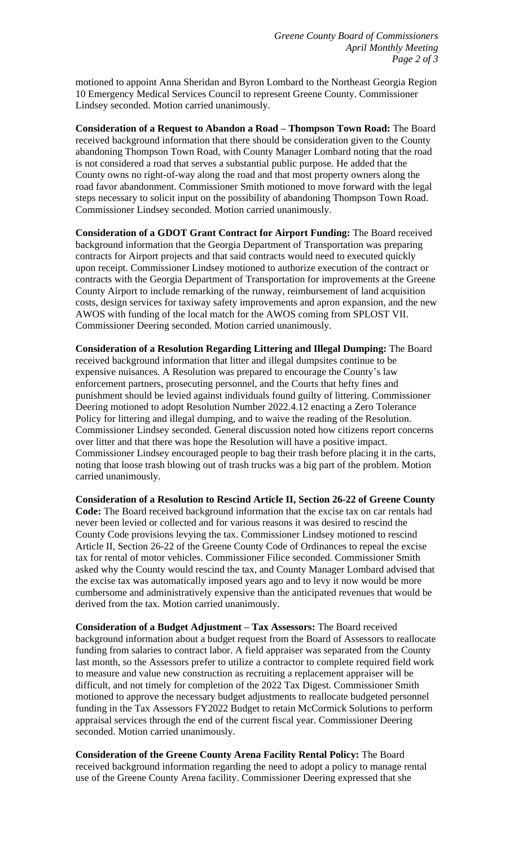motioned to appoint Anna Sheridan and Byron Lombard to the Northeast Georgia Region 10 Emergency Medical Services Council to represent Greene County. Commissioner Lindsey seconded. Motion carried unanimously.

**Consideration of a Request to Abandon a Road – Thompson Town Road:** The Board received background information that there should be consideration given to the County abandoning Thompson Town Road, with County Manager Lombard noting that the road is not considered a road that serves a substantial public purpose. He added that the County owns no right-of-way along the road and that most property owners along the road favor abandonment. Commissioner Smith motioned to move forward with the legal steps necessary to solicit input on the possibility of abandoning Thompson Town Road. Commissioner Lindsey seconded. Motion carried unanimously.

**Consideration of a GDOT Grant Contract for Airport Funding:** The Board received background information that the Georgia Department of Transportation was preparing contracts for Airport projects and that said contracts would need to executed quickly upon receipt. Commissioner Lindsey motioned to authorize execution of the contract or contracts with the Georgia Department of Transportation for improvements at the Greene County Airport to include remarking of the runway, reimbursement of land acquisition costs, design services for taxiway safety improvements and apron expansion, and the new AWOS with funding of the local match for the AWOS coming from SPLOST VII. Commissioner Deering seconded. Motion carried unanimously.

**Consideration of a Resolution Regarding Littering and Illegal Dumping:** The Board received background information that litter and illegal dumpsites continue to be expensive nuisances. A Resolution was prepared to encourage the County's law enforcement partners, prosecuting personnel, and the Courts that hefty fines and punishment should be levied against individuals found guilty of littering. Commissioner Deering motioned to adopt Resolution Number 2022.4.12 enacting a Zero Tolerance Policy for littering and illegal dumping, and to waive the reading of the Resolution. Commissioner Lindsey seconded. General discussion noted how citizens report concerns over litter and that there was hope the Resolution will have a positive impact. Commissioner Lindsey encouraged people to bag their trash before placing it in the carts, noting that loose trash blowing out of trash trucks was a big part of the problem. Motion carried unanimously.

**Consideration of a Resolution to Rescind Article II, Section 26-22 of Greene County Code:** The Board received background information that the excise tax on car rentals had never been levied or collected and for various reasons it was desired to rescind the County Code provisions levying the tax. Commissioner Lindsey motioned to rescind Article II, Section 26-22 of the Greene County Code of Ordinances to repeal the excise tax for rental of motor vehicles. Commissioner Filice seconded. Commissioner Smith asked why the County would rescind the tax, and County Manager Lombard advised that the excise tax was automatically imposed years ago and to levy it now would be more cumbersome and administratively expensive than the anticipated revenues that would be derived from the tax. Motion carried unanimously.

**Consideration of a Budget Adjustment – Tax Assessors:** The Board received background information about a budget request from the Board of Assessors to reallocate funding from salaries to contract labor. A field appraiser was separated from the County last month, so the Assessors prefer to utilize a contractor to complete required field work to measure and value new construction as recruiting a replacement appraiser will be difficult, and not timely for completion of the 2022 Tax Digest. Commissioner Smith motioned to approve the necessary budget adjustments to reallocate budgeted personnel funding in the Tax Assessors FY2022 Budget to retain McCormick Solutions to perform appraisal services through the end of the current fiscal year. Commissioner Deering seconded. Motion carried unanimously.

**Consideration of the Greene County Arena Facility Rental Policy:** The Board received background information regarding the need to adopt a policy to manage rental use of the Greene County Arena facility. Commissioner Deering expressed that she